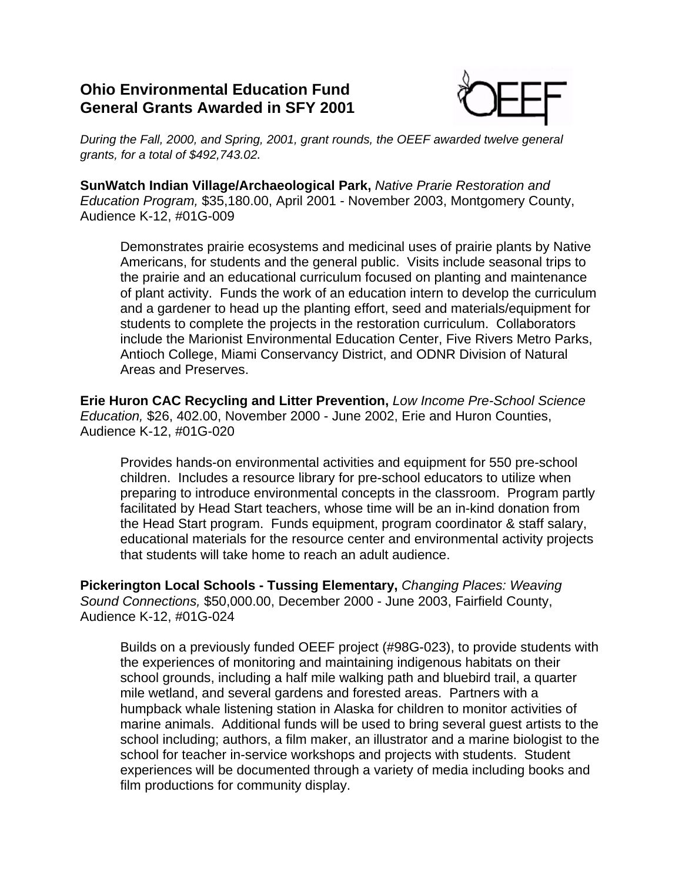## **Ohio Environmental Education Fund General Grants Awarded in SFY 2001**



*During the Fall, 2000, and Spring, 2001, grant rounds, the OEEF awarded twelve general grants, for a total of \$492,743.02.*

**SunWatch Indian Village/Archaeological Park,** *Native Prarie Restoration and Education Program,* \$35,180.00, April 2001 - November 2003, Montgomery County, Audience K-12, #01G-009

Demonstrates prairie ecosystems and medicinal uses of prairie plants by Native Americans, for students and the general public. Visits include seasonal trips to the prairie and an educational curriculum focused on planting and maintenance of plant activity. Funds the work of an education intern to develop the curriculum and a gardener to head up the planting effort, seed and materials/equipment for students to complete the projects in the restoration curriculum. Collaborators include the Marionist Environmental Education Center, Five Rivers Metro Parks, Antioch College, Miami Conservancy District, and ODNR Division of Natural Areas and Preserves.

**Erie Huron CAC Recycling and Litter Prevention,** *Low Income Pre-School Science Education,* \$26, 402.00, November 2000 - June 2002, Erie and Huron Counties, Audience K-12, #01G-020

Provides hands-on environmental activities and equipment for 550 pre-school children. Includes a resource library for pre-school educators to utilize when preparing to introduce environmental concepts in the classroom. Program partly facilitated by Head Start teachers, whose time will be an in-kind donation from the Head Start program. Funds equipment, program coordinator & staff salary, educational materials for the resource center and environmental activity projects that students will take home to reach an adult audience.

**Pickerington Local Schools - Tussing Elementary,** *Changing Places: Weaving Sound Connections,* \$50,000.00, December 2000 - June 2003, Fairfield County, Audience K-12, #01G-024

Builds on a previously funded OEEF project (#98G-023), to provide students with the experiences of monitoring and maintaining indigenous habitats on their school grounds, including a half mile walking path and bluebird trail, a quarter mile wetland, and several gardens and forested areas. Partners with a humpback whale listening station in Alaska for children to monitor activities of marine animals. Additional funds will be used to bring several guest artists to the school including; authors, a film maker, an illustrator and a marine biologist to the school for teacher in-service workshops and projects with students. Student experiences will be documented through a variety of media including books and film productions for community display.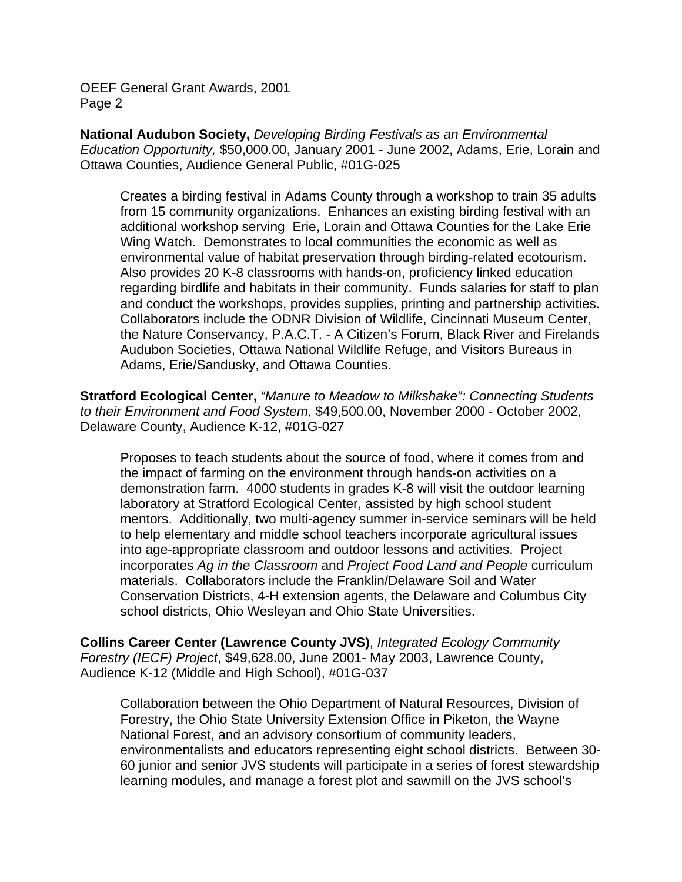OEEF General Grant Awards, 2001 Page 2

**National Audubon Society,** *Developing Birding Festivals as an Environmental Education Opportunity,* \$50,000.00, January 2001 - June 2002, Adams, Erie, Lorain and Ottawa Counties, Audience General Public, #01G-025

Creates a birding festival in Adams County through a workshop to train 35 adults from 15 community organizations. Enhances an existing birding festival with an additional workshop serving Erie, Lorain and Ottawa Counties for the Lake Erie Wing Watch. Demonstrates to local communities the economic as well as environmental value of habitat preservation through birding-related ecotourism. Also provides 20 K-8 classrooms with hands-on, proficiency linked education regarding birdlife and habitats in their community. Funds salaries for staff to plan and conduct the workshops, provides supplies, printing and partnership activities. Collaborators include the ODNR Division of Wildlife, Cincinnati Museum Center, the Nature Conservancy, P.A.C.T. - A Citizen's Forum, Black River and Firelands Audubon Societies, Ottawa National Wildlife Refuge, and Visitors Bureaus in Adams, Erie/Sandusky, and Ottawa Counties.

**Stratford Ecological Center,** *"Manure to Meadow to Milkshake": Connecting Students to their Environment and Food System,* \$49,500.00, November 2000 - October 2002, Delaware County, Audience K-12, #01G-027

Proposes to teach students about the source of food, where it comes from and the impact of farming on the environment through hands-on activities on a demonstration farm. 4000 students in grades K-8 will visit the outdoor learning laboratory at Stratford Ecological Center, assisted by high school student mentors. Additionally, two multi-agency summer in-service seminars will be held to help elementary and middle school teachers incorporate agricultural issues into age-appropriate classroom and outdoor lessons and activities. Project incorporates *Ag in the Classroom* and *Project Food Land and People* curriculum materials. Collaborators include the Franklin/Delaware Soil and Water Conservation Districts, 4-H extension agents, the Delaware and Columbus City school districts, Ohio Wesleyan and Ohio State Universities.

**Collins Career Center (Lawrence County JVS)**, *Integrated Ecology Community Forestry (IECF) Project*, \$49,628.00, June 2001- May 2003, Lawrence County, Audience K-12 (Middle and High School), #01G-037

Collaboration between the Ohio Department of Natural Resources, Division of Forestry, the Ohio State University Extension Office in Piketon, the Wayne National Forest, and an advisory consortium of community leaders, environmentalists and educators representing eight school districts. Between 30- 60 junior and senior JVS students will participate in a series of forest stewardship learning modules, and manage a forest plot and sawmill on the JVS school's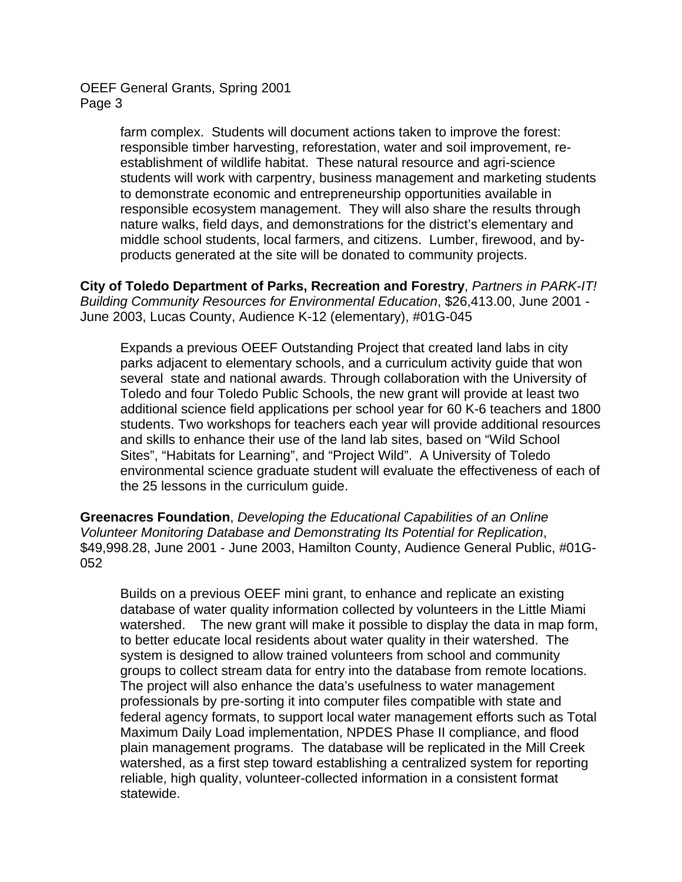OEEF General Grants, Spring 2001 Page 3

> farm complex. Students will document actions taken to improve the forest: responsible timber harvesting, reforestation, water and soil improvement, reestablishment of wildlife habitat. These natural resource and agri-science students will work with carpentry, business management and marketing students to demonstrate economic and entrepreneurship opportunities available in responsible ecosystem management. They will also share the results through nature walks, field days, and demonstrations for the district's elementary and middle school students, local farmers, and citizens. Lumber, firewood, and byproducts generated at the site will be donated to community projects.

**City of Toledo Department of Parks, Recreation and Forestry**, *Partners in PARK-IT! Building Community Resources for Environmental Education*, \$26,413.00, June 2001 - June 2003, Lucas County, Audience K-12 (elementary), #01G-045

Expands a previous OEEF Outstanding Project that created land labs in city parks adjacent to elementary schools, and a curriculum activity guide that won several state and national awards. Through collaboration with the University of Toledo and four Toledo Public Schools, the new grant will provide at least two additional science field applications per school year for 60 K-6 teachers and 1800 students. Two workshops for teachers each year will provide additional resources and skills to enhance their use of the land lab sites, based on "Wild School Sites", "Habitats for Learning", and "Project Wild". A University of Toledo environmental science graduate student will evaluate the effectiveness of each of the 25 lessons in the curriculum guide.

**Greenacres Foundation**, *Developing the Educational Capabilities of an Online Volunteer Monitoring Database and Demonstrating Its Potential for Replication*, \$49,998.28, June 2001 - June 2003, Hamilton County, Audience General Public, #01G-052

Builds on a previous OEEF mini grant, to enhance and replicate an existing database of water quality information collected by volunteers in the Little Miami watershed. The new grant will make it possible to display the data in map form, to better educate local residents about water quality in their watershed. The system is designed to allow trained volunteers from school and community groups to collect stream data for entry into the database from remote locations. The project will also enhance the data's usefulness to water management professionals by pre-sorting it into computer files compatible with state and federal agency formats, to support local water management efforts such as Total Maximum Daily Load implementation, NPDES Phase II compliance, and flood plain management programs. The database will be replicated in the Mill Creek watershed, as a first step toward establishing a centralized system for reporting reliable, high quality, volunteer-collected information in a consistent format statewide.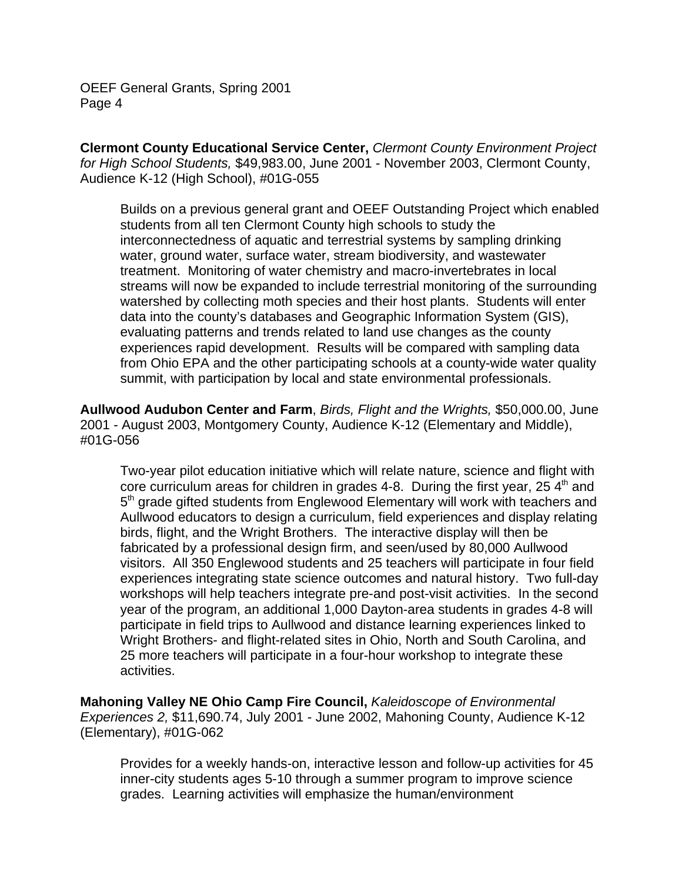OEEF General Grants, Spring 2001 Page 4

**Clermont County Educational Service Center,** *Clermont County Environment Project for High School Students,* \$49,983.00, June 2001 - November 2003, Clermont County, Audience K-12 (High School), #01G-055

Builds on a previous general grant and OEEF Outstanding Project which enabled students from all ten Clermont County high schools to study the interconnectedness of aquatic and terrestrial systems by sampling drinking water, ground water, surface water, stream biodiversity, and wastewater treatment. Monitoring of water chemistry and macro-invertebrates in local streams will now be expanded to include terrestrial monitoring of the surrounding watershed by collecting moth species and their host plants. Students will enter data into the county's databases and Geographic Information System (GIS), evaluating patterns and trends related to land use changes as the county experiences rapid development. Results will be compared with sampling data from Ohio EPA and the other participating schools at a county-wide water quality summit, with participation by local and state environmental professionals.

**Aullwood Audubon Center and Farm**, *Birds, Flight and the Wrights,* \$50,000.00, June 2001 - August 2003, Montgomery County, Audience K-12 (Elementary and Middle), #01G-056

Two-year pilot education initiative which will relate nature, science and flight with core curriculum areas for children in grades 4-8. During the first year,  $25\,4<sup>th</sup>$  and 5<sup>th</sup> grade gifted students from Englewood Elementary will work with teachers and Aullwood educators to design a curriculum, field experiences and display relating birds, flight, and the Wright Brothers. The interactive display will then be fabricated by a professional design firm, and seen/used by 80,000 Aullwood visitors. All 350 Englewood students and 25 teachers will participate in four field experiences integrating state science outcomes and natural history. Two full-day workshops will help teachers integrate pre-and post-visit activities. In the second year of the program, an additional 1,000 Dayton-area students in grades 4-8 will participate in field trips to Aullwood and distance learning experiences linked to Wright Brothers- and flight-related sites in Ohio, North and South Carolina, and 25 more teachers will participate in a four-hour workshop to integrate these activities.

**Mahoning Valley NE Ohio Camp Fire Council,** *Kaleidoscope of Environmental Experiences 2,* \$11,690.74, July 2001 - June 2002, Mahoning County, Audience K-12 (Elementary), #01G-062

Provides for a weekly hands-on, interactive lesson and follow-up activities for 45 inner-city students ages 5-10 through a summer program to improve science grades. Learning activities will emphasize the human/environment